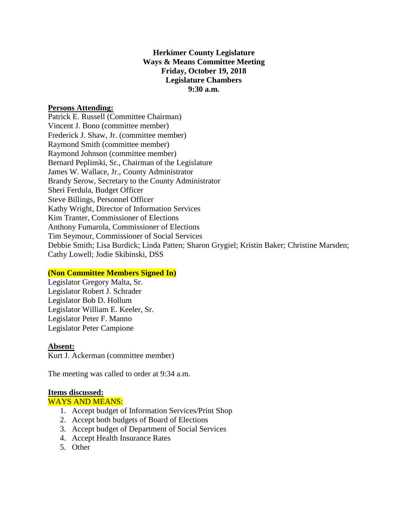# **Herkimer County Legislature Ways & Means Committee Meeting Friday, October 19, 2018 Legislature Chambers 9:30 a.m.**

### **Persons Attending:**

Patrick E. Russell (Committee Chairman) Vincent J. Bono (committee member) Frederick J. Shaw, Jr. (committee member) Raymond Smith (committee member) Raymond Johnson (committee member) Bernard Peplinski, Sr., Chairman of the Legislature James W. Wallace, Jr., County Administrator Brandy Serow, Secretary to the County Administrator Sheri Ferdula, Budget Officer Steve Billings, Personnel Officer Kathy Wright, Director of Information Services Kim Tranter, Commissioner of Elections Anthony Fumarola, Commissioner of Elections Tim Seymour, Commissioner of Social Services Debbie Smith; Lisa Burdick; Linda Patten; Sharon Grygiel; Kristin Baker; Christine Marsden; Cathy Lowell; Jodie Skibinski, DSS

#### **(Non Committee Members Signed In)**

Legislator Gregory Malta, Sr. Legislator Robert J. Schrader Legislator Bob D. Hollum Legislator William E. Keeler, Sr. Legislator Peter F. Manno Legislator Peter Campione

#### **Absent:**

Kurt J. Ackerman (committee member)

The meeting was called to order at 9:34 a.m.

#### **Items discussed:**

#### WAYS AND MEANS:

- 1. Accept budget of Information Services/Print Shop
- 2. Accept both budgets of Board of Elections
- 3. Accept budget of Department of Social Services
- 4. Accept Health Insurance Rates
- 5. Other